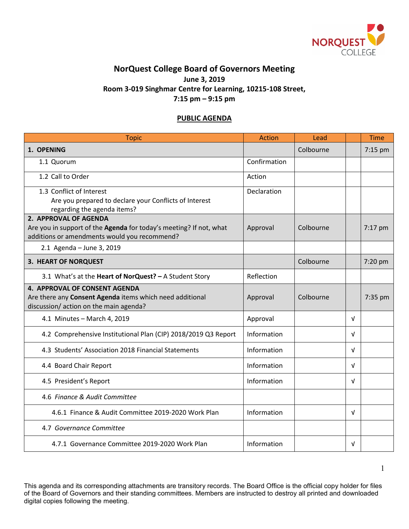

## **NorQuest College Board of Governors Meeting June 3, 2019 Room 3-019 Singhmar Centre for Learning, 10215-108 Street, 7:15 pm – 9:15 pm**

## **PUBLIC AGENDA**

| <b>Topic</b>                                                                                                                                | Action       | Lead      |            | <b>Time</b> |
|---------------------------------------------------------------------------------------------------------------------------------------------|--------------|-----------|------------|-------------|
| 1. OPENING                                                                                                                                  |              | Colbourne |            | 7:15 pm     |
| 1.1 Quorum                                                                                                                                  | Confirmation |           |            |             |
| 1.2 Call to Order                                                                                                                           | Action       |           |            |             |
| 1.3 Conflict of Interest<br>Are you prepared to declare your Conflicts of Interest<br>regarding the agenda items?                           | Declaration  |           |            |             |
| 2. APPROVAL OF AGENDA<br>Are you in support of the Agenda for today's meeting? If not, what<br>additions or amendments would you recommend? | Approval     | Colbourne |            | 7:17 pm     |
| 2.1 Agenda - June 3, 2019                                                                                                                   |              |           |            |             |
| 3. HEART OF NORQUEST                                                                                                                        |              | Colbourne |            | 7:20 pm     |
| 3.1 What's at the Heart of NorQuest? - A Student Story                                                                                      | Reflection   |           |            |             |
| 4. APPROVAL OF CONSENT AGENDA<br>Are there any Consent Agenda items which need additional<br>discussion/ action on the main agenda?         | Approval     | Colbourne |            | 7:35 pm     |
| 4.1 Minutes - March 4, 2019                                                                                                                 | Approval     |           | $\sqrt{ }$ |             |
| 4.2 Comprehensive Institutional Plan (CIP) 2018/2019 Q3 Report                                                                              | Information  |           | $\sqrt{ }$ |             |
| 4.3 Students' Association 2018 Financial Statements                                                                                         | Information  |           | v          |             |
| 4.4 Board Chair Report                                                                                                                      | Information  |           | $\sqrt{ }$ |             |
| 4.5 President's Report                                                                                                                      | Information  |           | $\sqrt{ }$ |             |
| 4.6 Finance & Audit Committee                                                                                                               |              |           |            |             |
| 4.6.1 Finance & Audit Committee 2019-2020 Work Plan                                                                                         | Information  |           | V          |             |
| 4.7 Governance Committee                                                                                                                    |              |           |            |             |
| 4.7.1 Governance Committee 2019-2020 Work Plan                                                                                              | Information  |           | V          |             |

This agenda and its corresponding attachments are transitory records. The Board Office is the official copy holder for files of the Board of Governors and their standing committees. Members are instructed to destroy all printed and downloaded digital copies following the meeting.